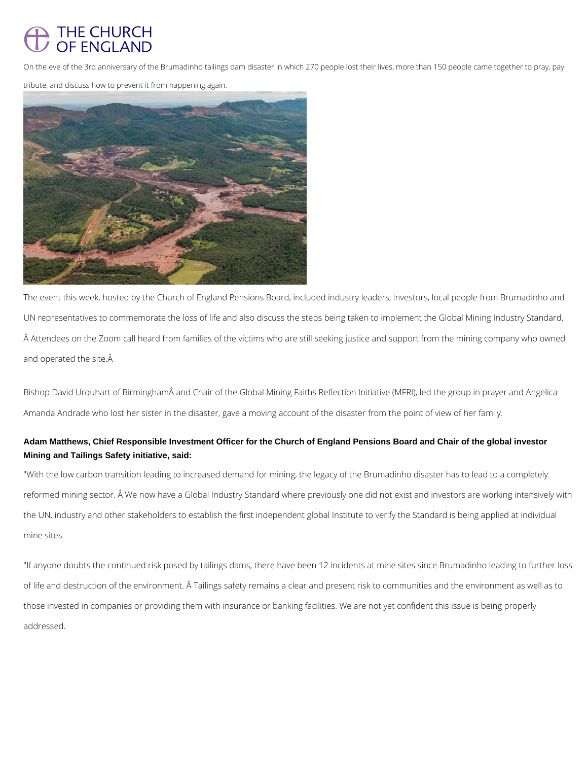## THE CHURCH OF ENGLAND

On the eve of the 3rd anniversary of the Brumadinho tailings dam disaster in which 270 people lost their lives, more than 150 people came together to pray, pay

The event this week, hosted by the Church of England Pensions Board, included industry leaders, investors, local people from Brumadinho and UN representatives to commemorate the loss of life and also discuss the steps being taken to implement the Global Mining Industry Standard. Attendees on the Zoom call heard from families of the victims who are still seeking justice and support from the mining company who owned and operated the site. $\hat{A}$ 

tribute, and discuss how to prevent it from happening again.



Bishop David Urquhart of Birmingham and Chair of the Global Mining Faiths Reflection Initiative (MFRI), led the group in prayer and Angelica Amanda Andrade who lost her sister in the disaster, gave a moving account of the disaster from the point of view of her family.

## **Adam Matthews, Chief Responsible Investment Officer for the Church of England Pensions Board and Chair of the global investor Mining and Tailings Safety initiative, said:**

"With the low carbon transition leading to increased demand for mining, the legacy of the Brumadinho disaster has to lead to a completely reformed mining sector. Â We now have a Global Industry Standard where previously one did not exist and investors are working intensively with the UN, industry and other stakeholders to establish the first independent global Institute to verify the Standard is being applied at individual mine sites.

"If anyone doubts the continued risk posed by tailings dams, there have been 12 incidents at mine sites since Brumadinho leading to further loss

of life and destruction of the environment. Â Tailings safety remains a clear and present risk to communities and the environment as well as to

those invested in companies or providing them with insurance or banking facilities. We are not yet confident this issue is being properly

addressed.